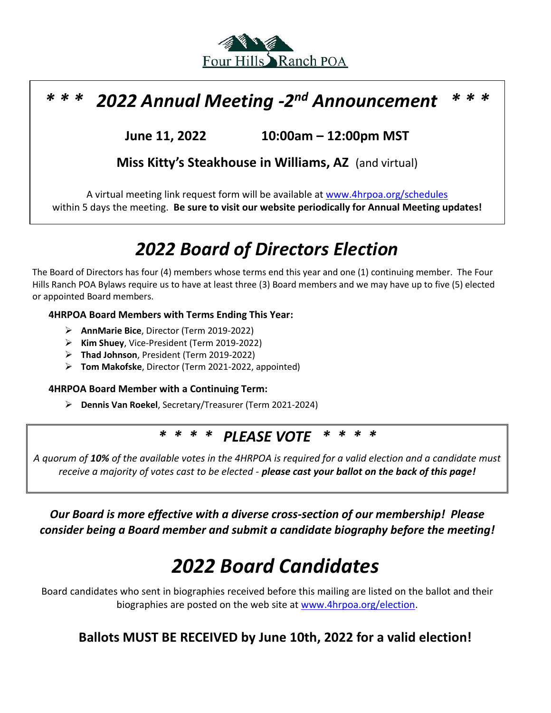

### *\* \* \* 2022 Annual Meeting -2 nd Announcement \* \* \**

**June 11, 2022 10:00am – 12:00pm MST**

**Miss Kitty's Steakhouse in Williams, AZ** (and virtual)

A virtual meeting link request form will be available at [www.4hrpoa.org/schedules](http://www.4hrpoa.org/schedules) within 5 days the meeting. **Be sure to visit our website periodically for Annual Meeting updates!**

# *2022 Board of Directors Election*

The Board of Directors has four (4) members whose terms end this year and one (1) continuing member. The Four Hills Ranch POA Bylaws require us to have at least three (3) Board members and we may have up to five (5) elected or appointed Board members.

#### **4HRPOA Board Members with Terms Ending This Year:**

- ➢ **AnnMarie Bice**, Director (Term 2019-2022)
- ➢ **Kim Shuey**, Vice-President (Term 2019-2022)
- ➢ **Thad Johnson**, President (Term 2019-2022)
- ➢ **Tom Makofske**, Director (Term 2021-2022, appointed)

#### **4HRPOA Board Member with a Continuing Term:**

➢ **Dennis Van Roekel**, Secretary/Treasurer (Term 2021-2024)

### *\* \* \* \* PLEASE VOTE \* \* \* \**

*A quorum of 10% of the available votes in the 4HRPOA is required for a valid election and a candidate must receive a majority of votes cast to be elected - please cast your ballot on the back of this page!*

*Our Board is more effective with a diverse cross-section of our membership! Please consider being a Board member and submit a candidate biography before the meeting!*

# *2022 Board Candidates*

Board candidates who sent in biographies received before this mailing are listed on the ballot and their biographies are posted on the web site at [www.4hrpoa.org/election.](http://www.4hrpoa.org/elections)

### **Ballots MUST BE RECEIVED by June 10th, 2022 for a valid election!**